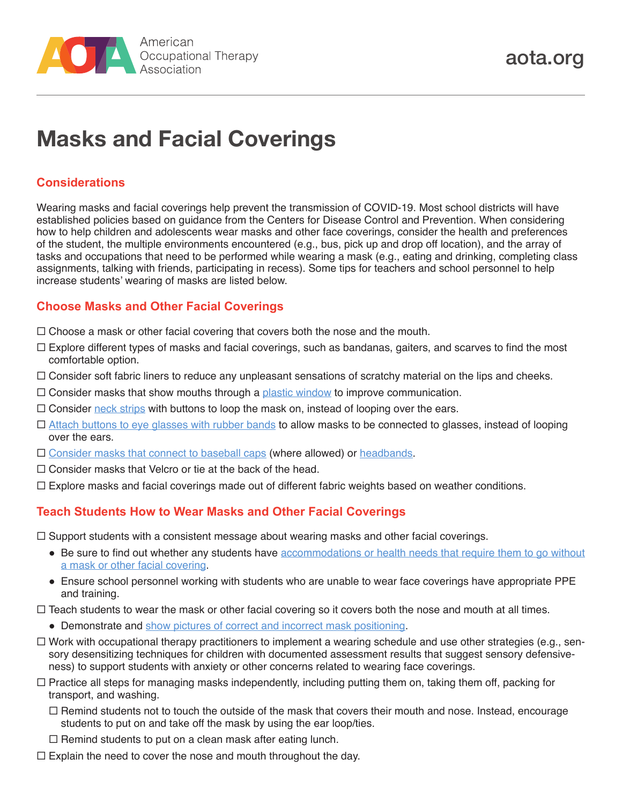

# **Masks and Facial Coverings**

## **Considerations**

Wearing masks and facial coverings help prevent the transmission of COVID-19. Most school districts will have established policies based on guidance from the Centers for Disease Control and Prevention. When considering how to help children and adolescents wear masks and other face coverings, consider the health and preferences of the student, the multiple environments encountered (e.g., bus, pick up and drop off location), and the array of tasks and occupations that need to be performed while wearing a mask (e.g., eating and drinking, completing class assignments, talking with friends, participating in recess). Some tips for teachers and school personnel to help increase students' wearing of masks are listed below.

## **Choose Masks and Other Facial Coverings**

- $\Box$  Choose a mask or other facial covering that covers both the nose and the mouth.
- $\Box$  Explore different types of masks and facial coverings, such as bandanas, gaiters, and scarves to find the most comfortable option.
- $\Box$  Consider soft fabric liners to reduce any unpleasant sensations of scratchy material on the lips and cheeks.
- $\Box$  Consider masks that show mouths through a [plastic window](https://www.latimes.com/world-nation/story/2020-06-12/face-masks-with-windows-mean-more-than-smiles-to-deaf-people) to improve communication.
- $\Box$  Consider [neck strips](https://weddingshop.theknot.com/product/face-mask-extender-straps-set-of-2?msclkid=%7bmsclkid%7d&utm_source=bing&utm_medium=cpc&utm_campaign=The%20Knot%20Shopping%20Campaign&utm_term=4574793009528658&utm_content=The%20Knot%20Products) with buttons to loop the mask on, instead of looping over the ears.
- [Attach buttons to eye glasses with rubber bands](https://www.gif-vif.com/gifs/Lifehack-128) to allow masks to be connected to glasses, instead of looping over the ears.
- $\Box$  [Consider masks that connect to baseball caps](https://www.facebook.com/mymind0/photos/a.2230434017210391/2550398541880602/) (where allowed) or [headbands](https://www.pinterest.com/pin/113364115609397800/).
- $\Box$  Consider masks that Velcro or tie at the back of the head.
- $\Box$  Explore masks and facial coverings made out of different fabric weights based on weather conditions.

#### **Teach Students How to Wear Masks and Other Facial Coverings**

 $\Box$  Support students with a consistent message about wearing masks and other facial coverings.

- Be sure to find out whether any students have accommodations or health needs that require them to go without [a mask or other facial covering.](https://www.cdc.gov/coronavirus/2019-ncov/community/schools-childcare/schools-faq.html#Administrators)
- Ensure school personnel working with students who are unable to wear face coverings have appropriate PPE and training.
- $\Box$  Teach students to wear the mask or other facial covering so it covers both the nose and mouth at all times.
	- Demonstrate and [show pictures of correct and incorrect mask positioning](https://paautism.org/resource/wearing-mask-social-story/).
- $\Box$  Work with occupational therapy practitioners to implement a wearing schedule and use other strategies (e.g., sensory desensitizing techniques for children with documented assessment results that suggest sensory defensiveness) to support students with anxiety or other concerns related to wearing face coverings.
- $\Box$  Practice all steps for managing masks independently, including putting them on, taking them off, packing for transport, and washing.
	- $\Box$  Remind students not to touch the outside of the mask that covers their mouth and nose. Instead, encourage students to put on and take off the mask by using the ear loop/ties.
	- $\Box$  Remind students to put on a clean mask after eating lunch.
- $\Box$  Explain the need to cover the nose and mouth throughout the day.